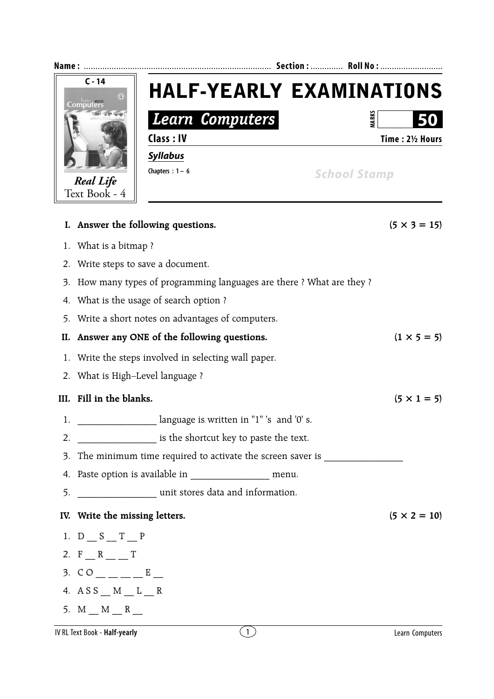| Name:          |                                                                     |                                                                                  |  | Section:  Roll No : |                     |  |  |
|----------------|---------------------------------------------------------------------|----------------------------------------------------------------------------------|--|---------------------|---------------------|--|--|
| $C - 14$<br>71 |                                                                     | <b>HALF-YEARLY EXAMINATIONS</b>                                                  |  |                     |                     |  |  |
|                |                                                                     | Learn Computers                                                                  |  | VIARKS              |                     |  |  |
|                |                                                                     | Class: IV                                                                        |  |                     | Time: 21/2 Hours    |  |  |
|                |                                                                     | <b>Syllabus</b>                                                                  |  |                     |                     |  |  |
|                | <b>Real Life</b>                                                    | Chapters : $1 - 6$                                                               |  | <b>School Stamp</b> |                     |  |  |
|                | Text Book - 4                                                       |                                                                                  |  |                     |                     |  |  |
|                |                                                                     | I. Answer the following questions.                                               |  |                     | $(5 \times 3 = 15)$ |  |  |
| 1.             | What is a bitmap?                                                   |                                                                                  |  |                     |                     |  |  |
| 2.             | Write steps to save a document.                                     |                                                                                  |  |                     |                     |  |  |
| 3.             | How many types of programming languages are there ? What are they ? |                                                                                  |  |                     |                     |  |  |
| 4.             | What is the usage of search option?                                 |                                                                                  |  |                     |                     |  |  |
| 5.             | Write a short notes on advantages of computers.                     |                                                                                  |  |                     |                     |  |  |
| II.            | Answer any ONE of the following questions.                          | $(1 \times 5 = 5)$                                                               |  |                     |                     |  |  |
| 1.             | Write the steps involved in selecting wall paper.                   |                                                                                  |  |                     |                     |  |  |
|                | 2. What is High-Level language ?                                    |                                                                                  |  |                     |                     |  |  |
| III.           | Fill in the blanks.                                                 | $(5 \times 1 = 5)$                                                               |  |                     |                     |  |  |
| Ī.             |                                                                     | anguage is written in "1" 's and '0' s.                                          |  |                     |                     |  |  |
|                |                                                                     |                                                                                  |  |                     |                     |  |  |
|                |                                                                     | 3. The minimum time required to activate the screen saver is ___________________ |  |                     |                     |  |  |
|                |                                                                     | 4. Paste option is available in ________________________ menu.                   |  |                     |                     |  |  |
|                |                                                                     |                                                                                  |  |                     |                     |  |  |
|                | IV. Write the missing letters.                                      |                                                                                  |  |                     | $(5 \times 2 = 10)$ |  |  |
|                | 1. $D_S T_P$                                                        |                                                                                  |  |                     |                     |  |  |
|                | 2. $F_R_R$ T                                                        |                                                                                  |  |                     |                     |  |  |
|                | 3. $CO_{---}$ $E_{---}$                                             |                                                                                  |  |                     |                     |  |  |
|                | 4. $AS S_M_M_L_L_R$                                                 |                                                                                  |  |                     |                     |  |  |
|                | 5. $M_M_M_R$                                                        |                                                                                  |  |                     |                     |  |  |